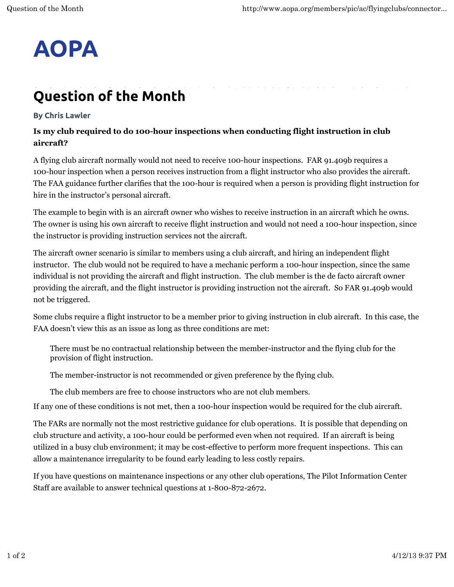## **AOPA**

## **Question of the Month**

## **By Chris Lawler**

## **Is my club required to do 100-hour inspections when conducting flight instruction in club aircraft?**

A flying club aircraft normally would not need to receive 100-hour inspections. FAR 91.409b requires a 100-hour inspection when a person receives instruction from a flight instructor who also provides the aircraft. The FAA guidance further clarifies that the 100-hour is required when a person is providing flight instruction for hire in the instructor's personal aircraft.

The example to begin with is an aircraft owner who wishes to receive instruction in an aircraft which he owns. The owner is using his own aircraft to receive flight instruction and would not need a 100-hour inspection, since the instructor is providing instruction services not the aircraft.

The aircraft owner scenario is similar to members using a club aircraft, and hiring an independent flight instructor. The club would not be required to have a mechanic perform a 100-hour inspection, since the same individual is not providing the aircraft and flight instruction. The club member is the de facto aircraft owner providing the aircraft, and the flight instructor is providing instruction not the aircraft. So FAR 91.409b would not be triggered.

Some clubs require a flight instructor to be a member prior to giving instruction in club aircraft. In this case, the FAA doesn't view this as an issue as long as three conditions are met:

There must be no contractual relationship between the member-instructor and the flying club for the provision of flight instruction.

The member-instructor is not recommended or given preference by the flying club.

The club members are free to choose instructors who are not club members.

If any one of these conditions is not met, then a 100-hour inspection would be required for the club aircraft.

The FARs are normally not the most restrictive guidance for club operations. It is possible that depending on club structure and activity, a 100-hour could be performed even when not required. If an aircraft is being utilized in a busy club environment; it may be cost-effective to perform more frequent inspections. This can allow a maintenance irregularity to be found early leading to less costly repairs.

If you have questions on maintenance inspections or any other club operations, The Pilot Information Center Staff are available to answer technical questions at 1-800-872-2672.